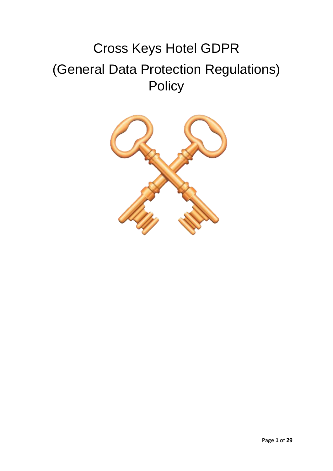# Cross Keys Hotel GDPR (General Data Protection Regulations) **Policy**

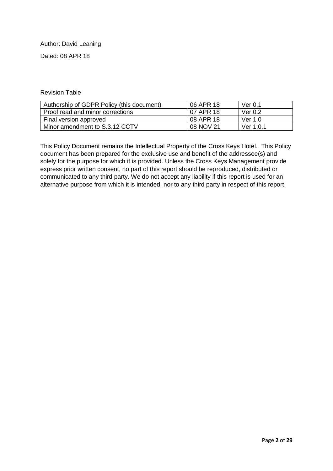#### Author: David Leaning

Dated: 08 APR 18

#### Revision Table

| Authorship of GDPR Policy (this document) | 06 APR 18 | Ver $0.1$ |
|-------------------------------------------|-----------|-----------|
| Proof read and minor corrections          | 07 APR 18 | Ver $0.2$ |
| Final version approved                    | 08 APR 18 | Ver 1.0   |
| Minor amendment to S.3.12 CCTV            | 08 NOV 21 | Ver 1.0.1 |

This Policy Document remains the Intellectual Property of the Cross Keys Hotel. This Policy document has been prepared for the exclusive use and benefit of the addressee(s) and solely for the purpose for which it is provided. Unless the Cross Keys Management provide express prior written consent, no part of this report should be reproduced, distributed or communicated to any third party. We do not accept any liability if this report is used for an alternative purpose from which it is intended, nor to any third party in respect of this report.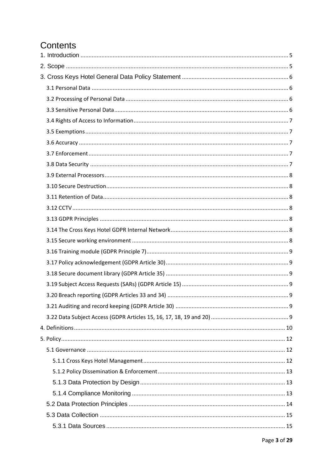# Contents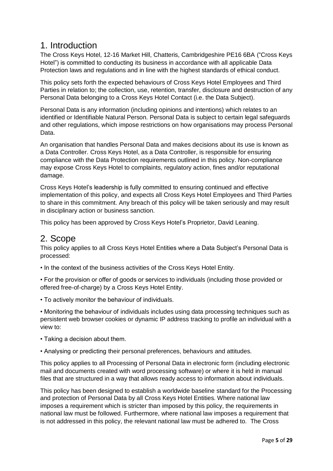# <span id="page-4-0"></span>1. Introduction

The Cross Keys Hotel, 12-16 Market Hill, Chatteris, Cambridgeshire PE16 6BA ("Cross Keys Hotel") is committed to conducting its business in accordance with all applicable Data Protection laws and regulations and in line with the highest standards of ethical conduct.

This policy sets forth the expected behaviours of Cross Keys Hotel Employees and Third Parties in relation to; the collection, use, retention, transfer, disclosure and destruction of any Personal Data belonging to a Cross Keys Hotel Contact (i.e. the Data Subject).

Personal Data is any information (including opinions and intentions) which relates to an identified or Identifiable Natural Person. Personal Data is subject to certain legal safeguards and other regulations, which impose restrictions on how organisations may process Personal Data.

An organisation that handles Personal Data and makes decisions about its use is known as a Data Controller. Cross Keys Hotel, as a Data Controller, is responsible for ensuring compliance with the Data Protection requirements outlined in this policy. Non-compliance may expose Cross Keys Hotel to complaints, regulatory action, fines and/or reputational damage.

Cross Keys Hotel's leadership is fully committed to ensuring continued and effective implementation of this policy, and expects all Cross Keys Hotel Employees and Third Parties to share in this commitment. Any breach of this policy will be taken seriously and may result in disciplinary action or business sanction.

This policy has been approved by Cross Keys Hotel's Proprietor, David Leaning.

# <span id="page-4-1"></span>2. Scope

This policy applies to all Cross Keys Hotel Entities where a Data Subject's Personal Data is processed:

• In the context of the business activities of the Cross Keys Hotel Entity.

• For the provision or offer of goods or services to individuals (including those provided or offered free-of-charge) by a Cross Keys Hotel Entity.

• To actively monitor the behaviour of individuals.

• Monitoring the behaviour of individuals includes using data processing techniques such as persistent web browser cookies or dynamic IP address tracking to profile an individual with a view to:

- Taking a decision about them.
- Analysing or predicting their personal preferences, behaviours and attitudes.

This policy applies to all Processing of Personal Data in electronic form (including electronic mail and documents created with word processing software) or where it is held in manual files that are structured in a way that allows ready access to information about individuals.

This policy has been designed to establish a worldwide baseline standard for the Processing and protection of Personal Data by all Cross Keys Hotel Entities. Where national law imposes a requirement which is stricter than imposed by this policy, the requirements in national law must be followed. Furthermore, where national law imposes a requirement that is not addressed in this policy, the relevant national law must be adhered to. The Cross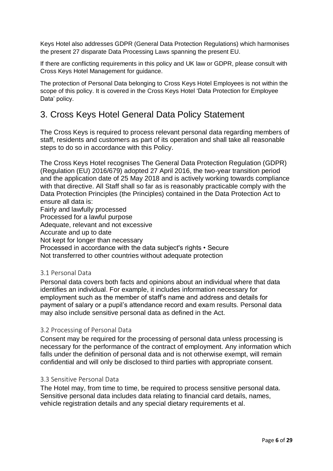Keys Hotel also addresses GDPR (General Data Protection Regulations) which harmonises the present 27 disparate Data Processing Laws spanning the present EU.

If there are conflicting requirements in this policy and UK law or GDPR, please consult with Cross Keys Hotel Management for guidance.

The protection of Personal Data belonging to Cross Keys Hotel Employees is not within the scope of this policy. It is covered in the Cross Keys Hotel 'Data Protection for Employee Data' policy.

# <span id="page-5-0"></span>3. Cross Keys Hotel General Data Policy Statement

The Cross Keys is required to process relevant personal data regarding members of staff, residents and customers as part of its operation and shall take all reasonable steps to do so in accordance with this Policy.

The Cross Keys Hotel recognises The General Data Protection Regulation (GDPR) (Regulation (EU) 2016/679) adopted 27 April 2016, the two-year transition period and the application date of 25 May 2018 and is actively working towards compliance with that directive. All Staff shall so far as is reasonably practicable comply with the Data Protection Principles (the Principles) contained in the Data Protection Act to ensure all data is:

Fairly and lawfully processed Processed for a lawful purpose Adequate, relevant and not excessive Accurate and up to date Not kept for longer than necessary Processed in accordance with the data subject's rights • Secure Not transferred to other countries without adequate protection

# <span id="page-5-1"></span>3.1 Personal Data

Personal data covers both facts and opinions about an individual where that data identifies an individual. For example, it includes information necessary for employment such as the member of staff's name and address and details for payment of salary or a pupil's attendance record and exam results. Personal data may also include sensitive personal data as defined in the Act.

#### <span id="page-5-2"></span>3.2 Processing of Personal Data

Consent may be required for the processing of personal data unless processing is necessary for the performance of the contract of employment. Any information which falls under the definition of personal data and is not otherwise exempt, will remain confidential and will only be disclosed to third parties with appropriate consent.

#### <span id="page-5-3"></span>3.3 Sensitive Personal Data

The Hotel may, from time to time, be required to process sensitive personal data. Sensitive personal data includes data relating to financial card details, names, vehicle registration details and any special dietary requirements et al.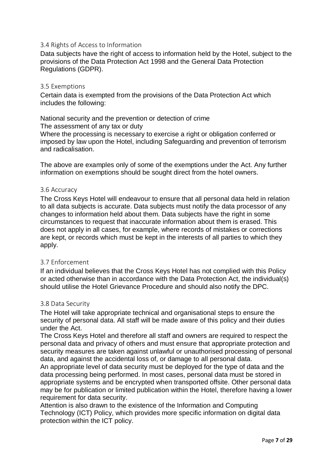### <span id="page-6-0"></span>3.4 Rights of Access to Information

Data subjects have the right of access to information held by the Hotel, subject to the provisions of the Data Protection Act 1998 and the General Data Protection Regulations (GDPR).

#### <span id="page-6-1"></span>3.5 Exemptions

Certain data is exempted from the provisions of the Data Protection Act which includes the following:

National security and the prevention or detection of crime The assessment of any tax or duty

Where the processing is necessary to exercise a right or obligation conferred or imposed by law upon the Hotel, including Safeguarding and prevention of terrorism and radicalisation.

The above are examples only of some of the exemptions under the Act. Any further information on exemptions should be sought direct from the hotel owners.

#### <span id="page-6-2"></span>3.6 Accuracy

The Cross Keys Hotel will endeavour to ensure that all personal data held in relation to all data subjects is accurate. Data subjects must notify the data processor of any changes to information held about them. Data subjects have the right in some circumstances to request that inaccurate information about them is erased. This does not apply in all cases, for example, where records of mistakes or corrections are kept, or records which must be kept in the interests of all parties to which they apply.

#### <span id="page-6-3"></span>3.7 Enforcement

If an individual believes that the Cross Keys Hotel has not complied with this Policy or acted otherwise than in accordance with the Data Protection Act, the individual(s) should utilise the Hotel Grievance Procedure and should also notify the DPC.

#### <span id="page-6-4"></span>3.8 Data Security

The Hotel will take appropriate technical and organisational steps to ensure the security of personal data. All staff will be made aware of this policy and their duties under the Act.

The Cross Keys Hotel and therefore all staff and owners are required to respect the personal data and privacy of others and must ensure that appropriate protection and security measures are taken against unlawful or unauthorised processing of personal data, and against the accidental loss of, or damage to all personal data.

An appropriate level of data security must be deployed for the type of data and the data processing being performed. In most cases, personal data must be stored in appropriate systems and be encrypted when transported offsite. Other personal data may be for publication or limited publication within the Hotel, therefore having a lower requirement for data security.

Attention is also drawn to the existence of the Information and Computing Technology (ICT) Policy, which provides more specific information on digital data protection within the ICT policy.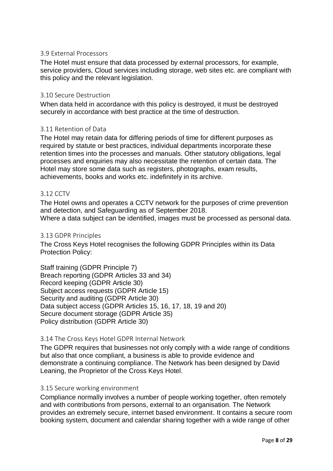### <span id="page-7-0"></span>3.9 External Processors

The Hotel must ensure that data processed by external processors, for example, service providers, Cloud services including storage, web sites etc. are compliant with this policy and the relevant legislation.

### <span id="page-7-1"></span>3.10 Secure Destruction

When data held in accordance with this policy is destroyed, it must be destroyed securely in accordance with best practice at the time of destruction.

### <span id="page-7-2"></span>3.11 Retention of Data

The Hotel may retain data for differing periods of time for different purposes as required by statute or best practices, individual departments incorporate these retention times into the processes and manuals. Other statutory obligations, legal processes and enquiries may also necessitate the retention of certain data. The Hotel may store some data such as registers, photographs, exam results, achievements, books and works etc. indefinitely in its archive.

#### <span id="page-7-3"></span>3.12 CCTV

The Hotel owns and operates a CCTV network for the purposes of crime prevention and detection, and Safeguarding as of September 2018. Where a data subject can be identified, images must be processed as personal data.

#### <span id="page-7-4"></span>3.13 GDPR Principles

The Cross Keys Hotel recognises the following GDPR Principles within its Data Protection Policy:

Staff training (GDPR Principle 7) Breach reporting (GDPR Articles 33 and 34) Record keeping (GDPR Article 30) Subject access requests (GDPR Article 15) Security and auditing (GDPR Article 30) Data subject access (GDPR Articles 15, 16, 17, 18, 19 and 20) Secure document storage (GDPR Article 35) Policy distribution (GDPR Article 30)

#### <span id="page-7-5"></span>3.14 The Cross Keys Hotel GDPR Internal Network

The GDPR requires that businesses not only comply with a wide range of conditions but also that once compliant, a business is able to provide evidence and demonstrate a continuing compliance. The Network has been designed by David Leaning, the Proprietor of the Cross Keys Hotel.

#### <span id="page-7-6"></span>3.15 Secure working environment

Compliance normally involves a number of people working together, often remotely and with contributions from persons, external to an organisation. The Network provides an extremely secure, internet based environment. It contains a secure room booking system, document and calendar sharing together with a wide range of other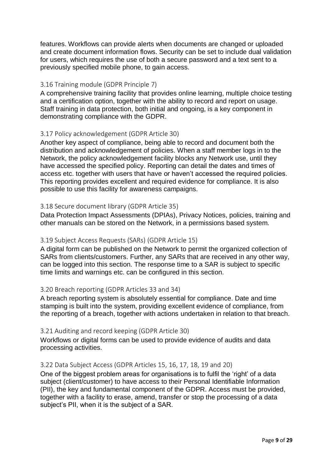features. Workflows can provide alerts when documents are changed or uploaded and create document information flows. Security can be set to include dual validation for users, which requires the use of both a secure password and a text sent to a previously specified mobile phone, to gain access.

# <span id="page-8-0"></span>3.16 Training module (GDPR Principle 7)

A comprehensive training facility that provides online learning, multiple choice testing and a certification option, together with the ability to record and report on usage. Staff training in data protection, both initial and ongoing, is a key component in demonstrating compliance with the GDPR.

# <span id="page-8-1"></span>3.17 Policy acknowledgement (GDPR Article 30)

Another key aspect of compliance, being able to record and document both the distribution and acknowledgement of policies. When a staff member logs in to the Network, the policy acknowledgement facility blocks any Network use, until they have accessed the specified policy. Reporting can detail the dates and times of access etc. together with users that have or haven't accessed the required policies. This reporting provides excellent and required evidence for compliance. It is also possible to use this facility for awareness campaigns.

# <span id="page-8-2"></span>3.18 Secure document library (GDPR Article 35)

Data Protection Impact Assessments (DPIAs), Privacy Notices, policies, training and other manuals can be stored on the Network, in a permissions based system.

# <span id="page-8-3"></span>3.19 Subject Access Requests (SARs) (GDPR Article 15)

A digital form can be published on the Network to permit the organized collection of SARs from clients/customers. Further, any SARs that are received in any other way, can be logged into this section. The response time to a SAR is subject to specific time limits and warnings etc. can be configured in this section.

# <span id="page-8-4"></span>3.20 Breach reporting (GDPR Articles 33 and 34)

A breach reporting system is absolutely essential for compliance. Date and time stamping is built into the system, providing excellent evidence of compliance, from the reporting of a breach, together with actions undertaken in relation to that breach.

# <span id="page-8-5"></span>3.21 Auditing and record keeping (GDPR Article 30)

Workflows or digital forms can be used to provide evidence of audits and data processing activities.

# <span id="page-8-6"></span>3.22 Data Subject Access (GDPR Articles 15, 16, 17, 18, 19 and 20)

One of the biggest problem areas for organisations is to fulfil the 'right' of a data subject (client/customer) to have access to their Personal Identifiable Information (PII), the key and fundamental component of the GDPR. Access must be provided, together with a facility to erase, amend, transfer or stop the processing of a data subject's PII, when it is the subject of a SAR.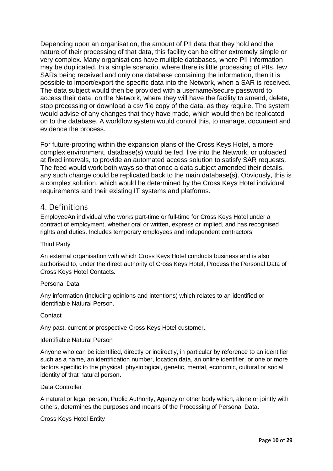Depending upon an organisation, the amount of PII data that they hold and the nature of their processing of that data, this facility can be either extremely simple or very complex. Many organisations have multiple databases, where PII information may be duplicated. In a simple scenario, where there is little processing of PIIs, few SARs being received and only one database containing the information, then it is possible to import/export the specific data into the Network, when a SAR is received. The data subject would then be provided with a username/secure password to access their data, on the Network, where they will have the facility to amend, delete, stop processing or download a csv file copy of the data, as they require. The system would advise of any changes that they have made, which would then be replicated on to the database. A workflow system would control this, to manage, document and evidence the process.

For future-proofing within the expansion plans of the Cross Keys Hotel, a more complex environment, database(s) would be fed, live into the Network, or uploaded at fixed intervals, to provide an automated access solution to satisfy SAR requests. The feed would work both ways so that once a data subject amended their details, any such change could be replicated back to the main database(s). Obviously, this is a complex solution, which would be determined by the Cross Keys Hotel individual requirements and their existing IT systems and platforms.

# <span id="page-9-0"></span>4. Definitions

EmployeeAn individual who works part-time or full-time for Cross Keys Hotel under a contract of employment, whether oral or written, express or implied, and has recognised rights and duties. Includes temporary employees and independent contractors.

#### Third Party

An external organisation with which Cross Keys Hotel conducts business and is also authorised to, under the direct authority of Cross Keys Hotel, Process the Personal Data of Cross Keys Hotel Contacts.

#### Personal Data

Any information (including opinions and intentions) which relates to an identified or Identifiable Natural Person.

#### **Contact**

Any past, current or prospective Cross Keys Hotel customer.

#### Identifiable Natural Person

Anyone who can be identified, directly or indirectly, in particular by reference to an identifier such as a name, an identification number, location data, an online identifier, or one or more factors specific to the physical, physiological, genetic, mental, economic, cultural or social identity of that natural person.

#### Data Controller

A natural or legal person, Public Authority, Agency or other body which, alone or jointly with others, determines the purposes and means of the Processing of Personal Data.

Cross Keys Hotel Entity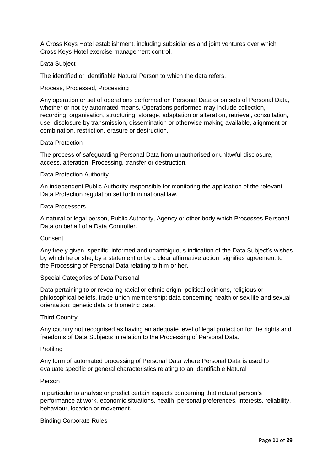A Cross Keys Hotel establishment, including subsidiaries and joint ventures over which Cross Keys Hotel exercise management control.

#### Data Subject

The identified or Identifiable Natural Person to which the data refers.

Process, Processed, Processing

Any operation or set of operations performed on Personal Data or on sets of Personal Data, whether or not by automated means. Operations performed may include collection, recording, organisation, structuring, storage, adaptation or alteration, retrieval, consultation, use, disclosure by transmission, dissemination or otherwise making available, alignment or combination, restriction, erasure or destruction.

#### Data Protection

The process of safeguarding Personal Data from unauthorised or unlawful disclosure, access, alteration, Processing, transfer or destruction.

#### Data Protection Authority

An independent Public Authority responsible for monitoring the application of the relevant Data Protection regulation set forth in national law.

#### Data Processors

A natural or legal person, Public Authority, Agency or other body which Processes Personal Data on behalf of a Data Controller.

#### Consent

Any freely given, specific, informed and unambiguous indication of the Data Subject's wishes by which he or she, by a statement or by a clear affirmative action, signifies agreement to the Processing of Personal Data relating to him or her.

Special Categories of Data Personal

Data pertaining to or revealing racial or ethnic origin, political opinions, religious or philosophical beliefs, trade-union membership; data concerning health or sex life and sexual orientation; genetic data or biometric data.

#### Third Country

Any country not recognised as having an adequate level of legal protection for the rights and freedoms of Data Subjects in relation to the Processing of Personal Data.

#### Profiling

Any form of automated processing of Personal Data where Personal Data is used to evaluate specific or general characteristics relating to an Identifiable Natural

#### Person

In particular to analyse or predict certain aspects concerning that natural person's performance at work, economic situations, health, personal preferences, interests, reliability, behaviour, location or movement.

Binding Corporate Rules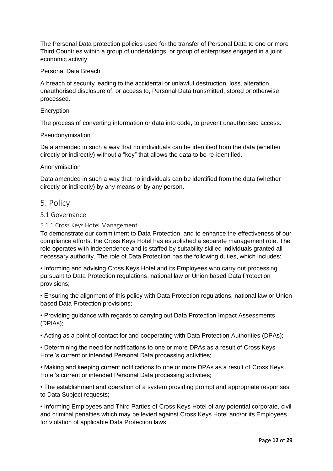The Personal Data protection policies used for the transfer of Personal Data to one or more Third Countries within a group of undertakings, or group of enterprises engaged in a joint economic activity.

#### Personal Data Breach

A breach of security leading to the accidental or unlawful destruction, loss, alteration, unauthorised disclosure of, or access to, Personal Data transmitted, stored or otherwise processed.

#### **Encryption**

The process of converting information or data into code, to prevent unauthorised access.

#### Pseudonymisation

Data amended in such a way that no individuals can be identified from the data (whether directly or indirectly) without a "key" that allows the data to be re-identified.

#### Anonymisation

Data amended in such a way that no individuals can be identified from the data (whether directly or indirectly) by any means or by any person.

# <span id="page-11-0"></span>5. Policy

#### <span id="page-11-1"></span>5.1 Governance

#### <span id="page-11-2"></span>5.1.1 Cross Keys Hotel Management

To demonstrate our commitment to Data Protection, and to enhance the effectiveness of our compliance efforts, the Cross Keys Hotel has established a separate management role. The role operates with independence and is staffed by suitability skilled individuals granted all necessary authority. The role of Data Protection has the following duties, which includes:

• Informing and advising Cross Keys Hotel and its Employees who carry out processing pursuant to Data Protection regulations, national law or Union based Data Protection provisions;

• Ensuring the alignment of this policy with Data Protection regulations, national law or Union based Data Protection provisions;

• Providing guidance with regards to carrying out Data Protection Impact Assessments (DPIAs);

• Acting as a point of contact for and cooperating with Data Protection Authorities (DPAs);

• Determining the need for notifications to one or more DPAs as a result of Cross Keys Hotel's current or intended Personal Data processing activities;

• Making and keeping current notifications to one or more DPAs as a result of Cross Keys Hotel's current or intended Personal Data processing activities;

• The establishment and operation of a system providing prompt and appropriate responses to Data Subject requests;

• Informing Employees and Third Parties of Cross Keys Hotel of any potential corporate, civil and criminal penalties which may be levied against Cross Keys Hotel and/or its Employees for violation of applicable Data Protection laws.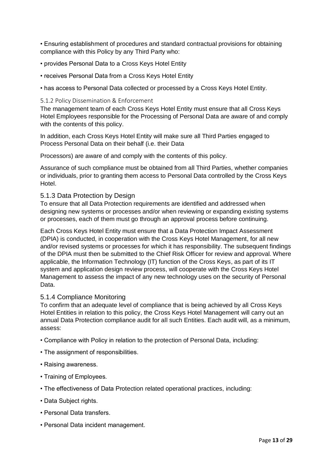• Ensuring establishment of procedures and standard contractual provisions for obtaining compliance with this Policy by any Third Party who:

- provides Personal Data to a Cross Keys Hotel Entity
- receives Personal Data from a Cross Keys Hotel Entity
- has access to Personal Data collected or processed by a Cross Keys Hotel Entity.

#### <span id="page-12-0"></span>5.1.2 Policy Dissemination & Enforcement

The management team of each Cross Keys Hotel Entity must ensure that all Cross Keys Hotel Employees responsible for the Processing of Personal Data are aware of and comply with the contents of this policy.

In addition, each Cross Keys Hotel Entity will make sure all Third Parties engaged to Process Personal Data on their behalf (i.e. their Data

Processors) are aware of and comply with the contents of this policy.

Assurance of such compliance must be obtained from all Third Parties, whether companies or individuals, prior to granting them access to Personal Data controlled by the Cross Keys Hotel.

#### <span id="page-12-1"></span>5.1.3 Data Protection by Design

To ensure that all Data Protection requirements are identified and addressed when designing new systems or processes and/or when reviewing or expanding existing systems or processes, each of them must go through an approval process before continuing.

Each Cross Keys Hotel Entity must ensure that a Data Protection Impact Assessment (DPIA) is conducted, in cooperation with the Cross Keys Hotel Management, for all new and/or revised systems or processes for which it has responsibility. The subsequent findings of the DPIA must then be submitted to the Chief Risk Officer for review and approval. Where applicable, the Information Technology (IT) function of the Cross Keys, as part of its IT system and application design review process, will cooperate with the Cross Keys Hotel Management to assess the impact of any new technology uses on the security of Personal Data.

#### <span id="page-12-2"></span>5.1.4 Compliance Monitoring

To confirm that an adequate level of compliance that is being achieved by all Cross Keys Hotel Entities in relation to this policy, the Cross Keys Hotel Management will carry out an annual Data Protection compliance audit for all such Entities. Each audit will, as a minimum, assess:

- Compliance with Policy in relation to the protection of Personal Data, including:
- The assignment of responsibilities.
- Raising awareness.
- Training of Employees.
- The effectiveness of Data Protection related operational practices, including:
- Data Subject rights.
- Personal Data transfers.
- Personal Data incident management.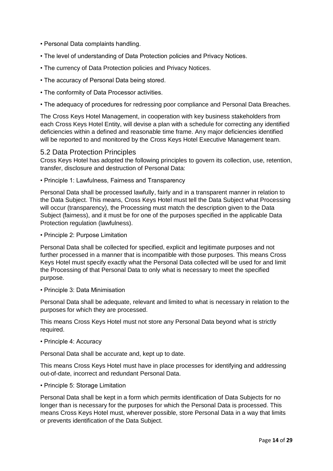- Personal Data complaints handling.
- The level of understanding of Data Protection policies and Privacy Notices.
- The currency of Data Protection policies and Privacy Notices.
- The accuracy of Personal Data being stored.
- The conformity of Data Processor activities.
- The adequacy of procedures for redressing poor compliance and Personal Data Breaches.

The Cross Keys Hotel Management, in cooperation with key business stakeholders from each Cross Keys Hotel Entity, will devise a plan with a schedule for correcting any identified deficiencies within a defined and reasonable time frame. Any major deficiencies identified will be reported to and monitored by the Cross Keys Hotel Executive Management team.

#### <span id="page-13-0"></span>5.2 Data Protection Principles

Cross Keys Hotel has adopted the following principles to govern its collection, use, retention, transfer, disclosure and destruction of Personal Data:

• Principle 1: Lawfulness, Fairness and Transparency

Personal Data shall be processed lawfully, fairly and in a transparent manner in relation to the Data Subject. This means, Cross Keys Hotel must tell the Data Subject what Processing will occur (transparency), the Processing must match the description given to the Data Subject (fairness), and it must be for one of the purposes specified in the applicable Data Protection regulation (lawfulness).

• Principle 2: Purpose Limitation

Personal Data shall be collected for specified, explicit and legitimate purposes and not further processed in a manner that is incompatible with those purposes. This means Cross Keys Hotel must specify exactly what the Personal Data collected will be used for and limit the Processing of that Personal Data to only what is necessary to meet the specified purpose.

• Principle 3: Data Minimisation

Personal Data shall be adequate, relevant and limited to what is necessary in relation to the purposes for which they are processed.

This means Cross Keys Hotel must not store any Personal Data beyond what is strictly required.

• Principle 4: Accuracy

Personal Data shall be accurate and, kept up to date.

This means Cross Keys Hotel must have in place processes for identifying and addressing out-of-date, incorrect and redundant Personal Data.

#### • Principle 5: Storage Limitation

Personal Data shall be kept in a form which permits identification of Data Subjects for no longer than is necessary for the purposes for which the Personal Data is processed. This means Cross Keys Hotel must, wherever possible, store Personal Data in a way that limits or prevents identification of the Data Subject.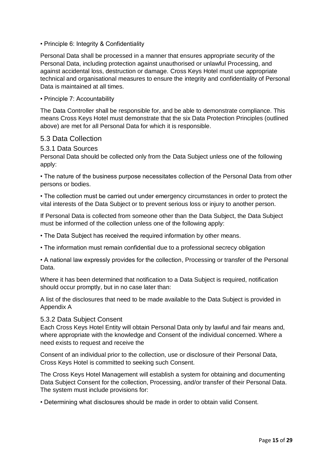#### • Principle 6: Integrity & Confidentiality

Personal Data shall be processed in a manner that ensures appropriate security of the Personal Data, including protection against unauthorised or unlawful Processing, and against accidental loss, destruction or damage. Cross Keys Hotel must use appropriate technical and organisational measures to ensure the integrity and confidentiality of Personal Data is maintained at all times.

#### • Principle 7: Accountability

The Data Controller shall be responsible for, and be able to demonstrate compliance. This means Cross Keys Hotel must demonstrate that the six Data Protection Principles (outlined above) are met for all Personal Data for which it is responsible.

#### <span id="page-14-0"></span>5.3 Data Collection

#### <span id="page-14-1"></span>5.3.1 Data Sources

Personal Data should be collected only from the Data Subject unless one of the following apply:

• The nature of the business purpose necessitates collection of the Personal Data from other persons or bodies.

• The collection must be carried out under emergency circumstances in order to protect the vital interests of the Data Subject or to prevent serious loss or injury to another person.

If Personal Data is collected from someone other than the Data Subject, the Data Subject must be informed of the collection unless one of the following apply:

• The Data Subject has received the required information by other means.

• The information must remain confidential due to a professional secrecy obligation

• A national law expressly provides for the collection, Processing or transfer of the Personal Data.

Where it has been determined that notification to a Data Subject is required, notification should occur promptly, but in no case later than:

A list of the disclosures that need to be made available to the Data Subject is provided in Appendix A

#### <span id="page-14-2"></span>5.3.2 Data Subject Consent

Each Cross Keys Hotel Entity will obtain Personal Data only by lawful and fair means and, where appropriate with the knowledge and Consent of the individual concerned. Where a need exists to request and receive the

Consent of an individual prior to the collection, use or disclosure of their Personal Data, Cross Keys Hotel is committed to seeking such Consent.

The Cross Keys Hotel Management will establish a system for obtaining and documenting Data Subject Consent for the collection, Processing, and/or transfer of their Personal Data. The system must include provisions for:

• Determining what disclosures should be made in order to obtain valid Consent.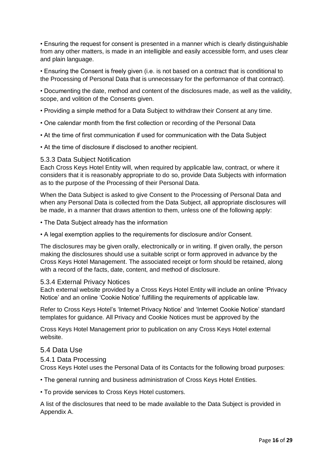• Ensuring the request for consent is presented in a manner which is clearly distinguishable from any other matters, is made in an intelligible and easily accessible form, and uses clear and plain language.

• Ensuring the Consent is freely given (i.e. is not based on a contract that is conditional to the Processing of Personal Data that is unnecessary for the performance of that contract).

• Documenting the date, method and content of the disclosures made, as well as the validity, scope, and volition of the Consents given.

- Providing a simple method for a Data Subject to withdraw their Consent at any time.
- One calendar month from the first collection or recording of the Personal Data
- At the time of first communication if used for communication with the Data Subject
- At the time of disclosure if disclosed to another recipient.

#### <span id="page-15-0"></span>5.3.3 Data Subject Notification

Each Cross Keys Hotel Entity will, when required by applicable law, contract, or where it considers that it is reasonably appropriate to do so, provide Data Subjects with information as to the purpose of the Processing of their Personal Data.

When the Data Subject is asked to give Consent to the Processing of Personal Data and when any Personal Data is collected from the Data Subject, all appropriate disclosures will be made, in a manner that draws attention to them, unless one of the following apply:

• The Data Subject already has the information

• A legal exemption applies to the requirements for disclosure and/or Consent.

The disclosures may be given orally, electronically or in writing. If given orally, the person making the disclosures should use a suitable script or form approved in advance by the Cross Keys Hotel Management. The associated receipt or form should be retained, along with a record of the facts, date, content, and method of disclosure.

#### <span id="page-15-1"></span>5.3.4 External Privacy Notices

Each external website provided by a Cross Keys Hotel Entity will include an online 'Privacy Notice' and an online 'Cookie Notice' fulfilling the requirements of applicable law.

Refer to Cross Keys Hotel's 'Internet Privacy Notice' and 'Internet Cookie Notice' standard templates for guidance. All Privacy and Cookie Notices must be approved by the

Cross Keys Hotel Management prior to publication on any Cross Keys Hotel external website.

#### <span id="page-15-2"></span>5.4 Data Use

#### <span id="page-15-3"></span>5.4.1 Data Processing

Cross Keys Hotel uses the Personal Data of its Contacts for the following broad purposes:

• The general running and business administration of Cross Keys Hotel Entities.

• To provide services to Cross Keys Hotel customers.

A list of the disclosures that need to be made available to the Data Subject is provided in Appendix A.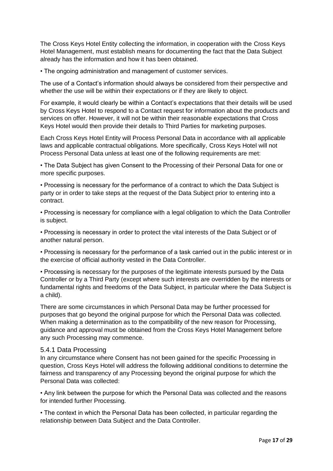The Cross Keys Hotel Entity collecting the information, in cooperation with the Cross Keys Hotel Management, must establish means for documenting the fact that the Data Subject already has the information and how it has been obtained.

• The ongoing administration and management of customer services.

The use of a Contact's information should always be considered from their perspective and whether the use will be within their expectations or if they are likely to object.

For example, it would clearly be within a Contact's expectations that their details will be used by Cross Keys Hotel to respond to a Contact request for information about the products and services on offer. However, it will not be within their reasonable expectations that Cross Keys Hotel would then provide their details to Third Parties for marketing purposes.

Each Cross Keys Hotel Entity will Process Personal Data in accordance with all applicable laws and applicable contractual obligations. More specifically, Cross Keys Hotel will not Process Personal Data unless at least one of the following requirements are met:

• The Data Subject has given Consent to the Processing of their Personal Data for one or more specific purposes.

• Processing is necessary for the performance of a contract to which the Data Subject is party or in order to take steps at the request of the Data Subject prior to entering into a contract.

• Processing is necessary for compliance with a legal obligation to which the Data Controller is subject.

• Processing is necessary in order to protect the vital interests of the Data Subject or of another natural person.

• Processing is necessary for the performance of a task carried out in the public interest or in the exercise of official authority vested in the Data Controller.

• Processing is necessary for the purposes of the legitimate interests pursued by the Data Controller or by a Third Party (except where such interests are overridden by the interests or fundamental rights and freedoms of the Data Subject, in particular where the Data Subject is a child).

There are some circumstances in which Personal Data may be further processed for purposes that go beyond the original purpose for which the Personal Data was collected. When making a determination as to the compatibility of the new reason for Processing, guidance and approval must be obtained from the Cross Keys Hotel Management before any such Processing may commence.

#### <span id="page-16-0"></span>5.4.1 Data Processing

In any circumstance where Consent has not been gained for the specific Processing in question, Cross Keys Hotel will address the following additional conditions to determine the fairness and transparency of any Processing beyond the original purpose for which the Personal Data was collected:

• Any link between the purpose for which the Personal Data was collected and the reasons for intended further Processing.

• The context in which the Personal Data has been collected, in particular regarding the relationship between Data Subject and the Data Controller.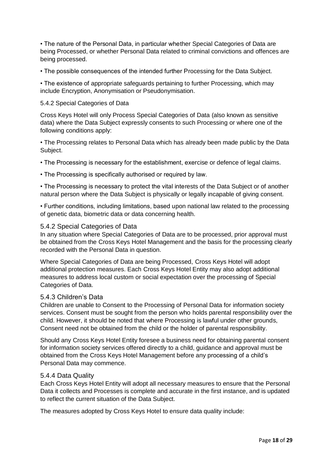• The nature of the Personal Data, in particular whether Special Categories of Data are being Processed, or whether Personal Data related to criminal convictions and offences are being processed.

• The possible consequences of the intended further Processing for the Data Subject.

• The existence of appropriate safeguards pertaining to further Processing, which may include Encryption, Anonymisation or Pseudonymisation.

#### 5.4.2 Special Categories of Data

Cross Keys Hotel will only Process Special Categories of Data (also known as sensitive data) where the Data Subject expressly consents to such Processing or where one of the following conditions apply:

• The Processing relates to Personal Data which has already been made public by the Data Subject.

- The Processing is necessary for the establishment, exercise or defence of legal claims.
- The Processing is specifically authorised or required by law.

• The Processing is necessary to protect the vital interests of the Data Subject or of another natural person where the Data Subject is physically or legally incapable of giving consent.

• Further conditions, including limitations, based upon national law related to the processing of genetic data, biometric data or data concerning health.

#### <span id="page-17-0"></span>5.4.2 Special Categories of Data

In any situation where Special Categories of Data are to be processed, prior approval must be obtained from the Cross Keys Hotel Management and the basis for the processing clearly recorded with the Personal Data in question.

Where Special Categories of Data are being Processed, Cross Keys Hotel will adopt additional protection measures. Each Cross Keys Hotel Entity may also adopt additional measures to address local custom or social expectation over the processing of Special Categories of Data.

#### <span id="page-17-1"></span>5.4.3 Children's Data

Children are unable to Consent to the Processing of Personal Data for information society services. Consent must be sought from the person who holds parental responsibility over the child. However, it should be noted that where Processing is lawful under other grounds, Consent need not be obtained from the child or the holder of parental responsibility.

Should any Cross Keys Hotel Entity foresee a business need for obtaining parental consent for information society services offered directly to a child, guidance and approval must be obtained from the Cross Keys Hotel Management before any processing of a child's Personal Data may commence.

#### <span id="page-17-2"></span>5.4.4 Data Quality

Each Cross Keys Hotel Entity will adopt all necessary measures to ensure that the Personal Data it collects and Processes is complete and accurate in the first instance, and is updated to reflect the current situation of the Data Subject.

The measures adopted by Cross Keys Hotel to ensure data quality include: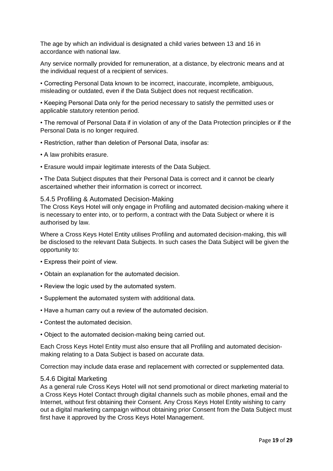The age by which an individual is designated a child varies between 13 and 16 in accordance with national law.

Any service normally provided for remuneration, at a distance, by electronic means and at the individual request of a recipient of services.

• Correcting Personal Data known to be incorrect, inaccurate, incomplete, ambiguous, misleading or outdated, even if the Data Subject does not request rectification.

• Keeping Personal Data only for the period necessary to satisfy the permitted uses or applicable statutory retention period.

• The removal of Personal Data if in violation of any of the Data Protection principles or if the Personal Data is no longer required.

- Restriction, rather than deletion of Personal Data, insofar as:
- A law prohibits erasure.
- Erasure would impair legitimate interests of the Data Subject.

• The Data Subject disputes that their Personal Data is correct and it cannot be clearly ascertained whether their information is correct or incorrect.

#### <span id="page-18-0"></span>5.4.5 Profiling & Automated Decision-Making

The Cross Keys Hotel will only engage in Profiling and automated decision-making where it is necessary to enter into, or to perform, a contract with the Data Subject or where it is authorised by law.

Where a Cross Keys Hotel Entity utilises Profiling and automated decision-making, this will be disclosed to the relevant Data Subjects. In such cases the Data Subject will be given the opportunity to:

- Express their point of view.
- Obtain an explanation for the automated decision.
- Review the logic used by the automated system.
- Supplement the automated system with additional data.
- Have a human carry out a review of the automated decision.
- Contest the automated decision.
- Object to the automated decision-making being carried out.

Each Cross Keys Hotel Entity must also ensure that all Profiling and automated decisionmaking relating to a Data Subject is based on accurate data.

Correction may include data erase and replacement with corrected or supplemented data.

#### <span id="page-18-1"></span>5.4.6 Digital Marketing

As a general rule Cross Keys Hotel will not send promotional or direct marketing material to a Cross Keys Hotel Contact through digital channels such as mobile phones, email and the Internet, without first obtaining their Consent. Any Cross Keys Hotel Entity wishing to carry out a digital marketing campaign without obtaining prior Consent from the Data Subject must first have it approved by the Cross Keys Hotel Management.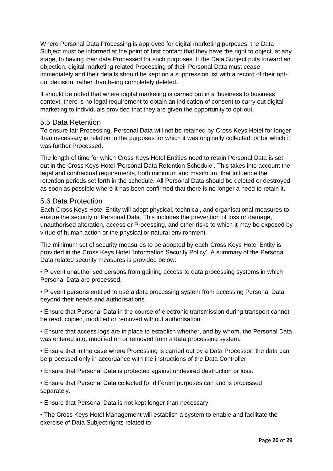Where Personal Data Processing is approved for digital marketing purposes, the Data Subject must be informed at the point of first contact that they have the right to object, at any stage, to having their data Processed for such purposes. If the Data Subject puts forward an objection, digital marketing related Processing of their Personal Data must cease immediately and their details should be kept on a suppression list with a record of their optout decision, rather than being completely deleted.

It should be noted that where digital marketing is carried out in a 'business to business' context, there is no legal requirement to obtain an indication of consent to carry out digital marketing to individuals provided that they are given the opportunity to opt-out.

# <span id="page-19-0"></span>5.5 Data Retention

To ensure fair Processing, Personal Data will not be retained by Cross Keys Hotel for longer than necessary in relation to the purposes for which it was originally collected, or for which it was further Processed.

The length of time for which Cross Keys Hotel Entities need to retain Personal Data is set out in the Cross Keys Hotel 'Personal Data Retention Schedule'. This takes into account the legal and contractual requirements, both minimum and maximum, that influence the retention periods set forth in the schedule. All Personal Data should be deleted or destroyed as soon as possible where it has been confirmed that there is no longer a need to retain it.

# <span id="page-19-1"></span>5.6 Data Protection

Each Cross Keys Hotel Entity will adopt physical, technical, and organisational measures to ensure the security of Personal Data. This includes the prevention of loss or damage, unauthorised alteration, access or Processing, and other risks to which it may be exposed by virtue of human action or the physical or natural environment.

The minimum set of security measures to be adopted by each Cross Keys Hotel Entity is provided in the Cross Keys Hotel 'Information Security Policy'. A summary of the Personal Data related security measures is provided below:

• Prevent unauthorised persons from gaining access to data processing systems in which Personal Data are processed.

• Prevent persons entitled to use a data processing system from accessing Personal Data beyond their needs and authorisations.

• Ensure that Personal Data in the course of electronic transmission during transport cannot be read, copied, modified or removed without authorisation.

• Ensure that access logs are in place to establish whether, and by whom, the Personal Data was entered into, modified on or removed from a data processing system.

• Ensure that in the case where Processing is carried out by a Data Processor, the data can be processed only in accordance with the instructions of the Data Controller.

• Ensure that Personal Data is protected against undesired destruction or loss.

• Ensure that Personal Data collected for different purposes can and is processed separately.

• Ensure that Personal Data is not kept longer than necessary.

• The Cross Keys Hotel Management will establish a system to enable and facilitate the exercise of Data Subject rights related to: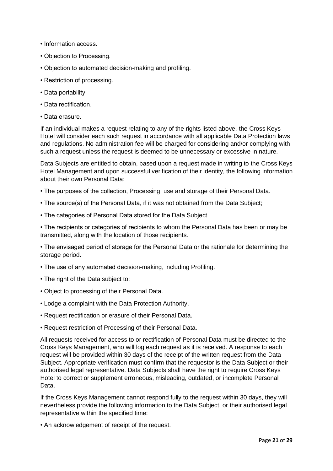- Information access.
- Objection to Processing.
- Objection to automated decision-making and profiling.
- Restriction of processing.
- Data portability.
- Data rectification.
- Data erasure.

If an individual makes a request relating to any of the rights listed above, the Cross Keys Hotel will consider each such request in accordance with all applicable Data Protection laws and regulations. No administration fee will be charged for considering and/or complying with such a request unless the request is deemed to be unnecessary or excessive in nature.

Data Subjects are entitled to obtain, based upon a request made in writing to the Cross Keys Hotel Management and upon successful verification of their identity, the following information about their own Personal Data:

- The purposes of the collection, Processing, use and storage of their Personal Data.
- The source(s) of the Personal Data, if it was not obtained from the Data Subject;
- The categories of Personal Data stored for the Data Subject.

• The recipients or categories of recipients to whom the Personal Data has been or may be transmitted, along with the location of those recipients.

• The envisaged period of storage for the Personal Data or the rationale for determining the storage period.

- The use of any automated decision-making, including Profiling.
- The right of the Data subject to:
- Object to processing of their Personal Data.
- Lodge a complaint with the Data Protection Authority.
- Request rectification or erasure of their Personal Data.
- Request restriction of Processing of their Personal Data.

All requests received for access to or rectification of Personal Data must be directed to the Cross Keys Management, who will log each request as it is received. A response to each request will be provided within 30 days of the receipt of the written request from the Data Subject. Appropriate verification must confirm that the requestor is the Data Subject or their authorised legal representative. Data Subjects shall have the right to require Cross Keys Hotel to correct or supplement erroneous, misleading, outdated, or incomplete Personal Data.

If the Cross Keys Management cannot respond fully to the request within 30 days, they will nevertheless provide the following information to the Data Subject, or their authorised legal representative within the specified time:

• An acknowledgement of receipt of the request.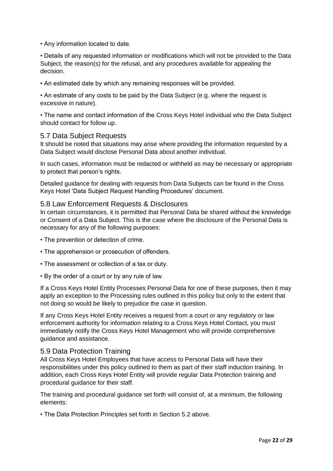• Any information located to date.

• Details of any requested information or modifications which will not be provided to the Data Subject, the reason(s) for the refusal, and any procedures available for appealing the decision.

• An estimated date by which any remaining responses will be provided.

• An estimate of any costs to be paid by the Data Subject (e.g. where the request is excessive in nature).

• The name and contact information of the Cross Keys Hotel individual who the Data Subject should contact for follow up.

#### <span id="page-21-0"></span>5.7 Data Subject Requests

It should be noted that situations may arise where providing the information requested by a Data Subject would disclose Personal Data about another individual.

In such cases, information must be redacted or withheld as may be necessary or appropriate to protect that person's rights.

Detailed guidance for dealing with requests from Data Subjects can be found in the Cross Keys Hotel 'Data Subject Request Handling Procedures' document.

### <span id="page-21-1"></span>5.8 Law Enforcement Requests & Disclosures

In certain circumstances, it is permitted that Personal Data be shared without the knowledge or Consent of a Data Subject. This is the case where the disclosure of the Personal Data is necessary for any of the following purposes:

- The prevention or detection of crime.
- The apprehension or prosecution of offenders.
- The assessment or collection of a tax or duty.
- By the order of a court or by any rule of law.

If a Cross Keys Hotel Entity Processes Personal Data for one of these purposes, then it may apply an exception to the Processing rules outlined in this policy but only to the extent that not doing so would be likely to prejudice the case in question.

If any Cross Keys Hotel Entity receives a request from a court or any regulatory or law enforcement authority for information relating to a Cross Keys Hotel Contact, you must immediately notify the Cross Keys Hotel Management who will provide comprehensive guidance and assistance.

#### <span id="page-21-2"></span>5.9 Data Protection Training

All Cross Keys Hotel Employees that have access to Personal Data will have their responsibilities under this policy outlined to them as part of their staff induction training. In addition, each Cross Keys Hotel Entity will provide regular Data Protection training and procedural guidance for their staff.

The training and procedural guidance set forth will consist of, at a minimum, the following elements:

• The Data Protection Principles set forth in Section 5.2 above.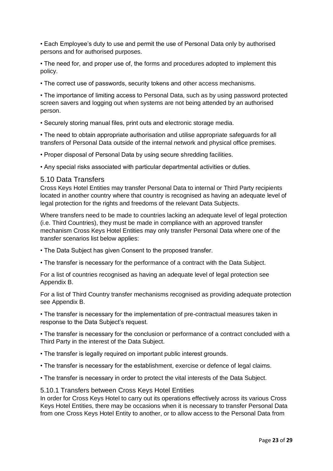• Each Employee's duty to use and permit the use of Personal Data only by authorised persons and for authorised purposes.

• The need for, and proper use of, the forms and procedures adopted to implement this policy.

• The correct use of passwords, security tokens and other access mechanisms.

• The importance of limiting access to Personal Data, such as by using password protected screen savers and logging out when systems are not being attended by an authorised person.

• Securely storing manual files, print outs and electronic storage media.

• The need to obtain appropriate authorisation and utilise appropriate safeguards for all transfers of Personal Data outside of the internal network and physical office premises.

• Proper disposal of Personal Data by using secure shredding facilities.

• Any special risks associated with particular departmental activities or duties.

#### <span id="page-22-0"></span>5.10 Data Transfers

Cross Keys Hotel Entities may transfer Personal Data to internal or Third Party recipients located in another country where that country is recognised as having an adequate level of legal protection for the rights and freedoms of the relevant Data Subjects.

Where transfers need to be made to countries lacking an adequate level of legal protection (i.e. Third Countries), they must be made in compliance with an approved transfer mechanism Cross Keys Hotel Entities may only transfer Personal Data where one of the transfer scenarios list below applies:

• The Data Subject has given Consent to the proposed transfer.

• The transfer is necessary for the performance of a contract with the Data Subject.

For a list of countries recognised as having an adequate level of legal protection see Appendix B.

For a list of Third Country transfer mechanisms recognised as providing adequate protection see Appendix B.

• The transfer is necessary for the implementation of pre-contractual measures taken in response to the Data Subject's request.

• The transfer is necessary for the conclusion or performance of a contract concluded with a Third Party in the interest of the Data Subject.

• The transfer is legally required on important public interest grounds.

• The transfer is necessary for the establishment, exercise or defence of legal claims.

• The transfer is necessary in order to protect the vital interests of the Data Subject.

<span id="page-22-1"></span>5.10.1 Transfers between Cross Keys Hotel Entities

In order for Cross Keys Hotel to carry out its operations effectively across its various Cross Keys Hotel Entities, there may be occasions when it is necessary to transfer Personal Data from one Cross Keys Hotel Entity to another, or to allow access to the Personal Data from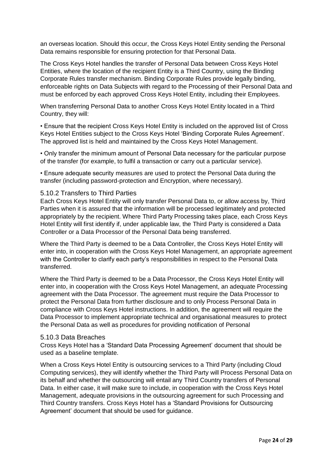an overseas location. Should this occur, the Cross Keys Hotel Entity sending the Personal Data remains responsible for ensuring protection for that Personal Data.

The Cross Keys Hotel handles the transfer of Personal Data between Cross Keys Hotel Entities, where the location of the recipient Entity is a Third Country, using the Binding Corporate Rules transfer mechanism. Binding Corporate Rules provide legally binding, enforceable rights on Data Subjects with regard to the Processing of their Personal Data and must be enforced by each approved Cross Keys Hotel Entity, including their Employees.

When transferring Personal Data to another Cross Keys Hotel Entity located in a Third Country, they will:

• Ensure that the recipient Cross Keys Hotel Entity is included on the approved list of Cross Keys Hotel Entities subject to the Cross Keys Hotel 'Binding Corporate Rules Agreement'. The approved list is held and maintained by the Cross Keys Hotel Management.

• Only transfer the minimum amount of Personal Data necessary for the particular purpose of the transfer (for example, to fulfil a transaction or carry out a particular service).

• Ensure adequate security measures are used to protect the Personal Data during the transfer (including password-protection and Encryption, where necessary).

#### <span id="page-23-0"></span>5.10.2 Transfers to Third Parties

Each Cross Keys Hotel Entity will only transfer Personal Data to, or allow access by, Third Parties when it is assured that the information will be processed legitimately and protected appropriately by the recipient. Where Third Party Processing takes place, each Cross Keys Hotel Entity will first identify if, under applicable law, the Third Party is considered a Data Controller or a Data Processor of the Personal Data being transferred.

Where the Third Party is deemed to be a Data Controller, the Cross Keys Hotel Entity will enter into, in cooperation with the Cross Keys Hotel Management, an appropriate agreement with the Controller to clarify each party's responsibilities in respect to the Personal Data transferred.

Where the Third Party is deemed to be a Data Processor, the Cross Keys Hotel Entity will enter into, in cooperation with the Cross Keys Hotel Management, an adequate Processing agreement with the Data Processor. The agreement must require the Data Processor to protect the Personal Data from further disclosure and to only Process Personal Data in compliance with Cross Keys Hotel instructions. In addition, the agreement will require the Data Processor to implement appropriate technical and organisational measures to protect the Personal Data as well as procedures for providing notification of Personal

#### <span id="page-23-1"></span>5.10.3 Data Breaches

Cross Keys Hotel has a 'Standard Data Processing Agreement' document that should be used as a baseline template.

When a Cross Keys Hotel Entity is outsourcing services to a Third Party (including Cloud Computing services), they will identify whether the Third Party will Process Personal Data on its behalf and whether the outsourcing will entail any Third Country transfers of Personal Data. In either case, it will make sure to include, in cooperation with the Cross Keys Hotel Management, adequate provisions in the outsourcing agreement for such Processing and Third Country transfers. Cross Keys Hotel has a 'Standard Provisions for Outsourcing Agreement' document that should be used for guidance.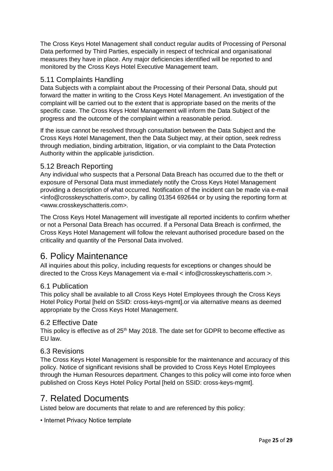The Cross Keys Hotel Management shall conduct regular audits of Processing of Personal Data performed by Third Parties, especially in respect of technical and organisational measures they have in place. Any major deficiencies identified will be reported to and monitored by the Cross Keys Hotel Executive Management team.

# <span id="page-24-0"></span>5.11 Complaints Handling

Data Subjects with a complaint about the Processing of their Personal Data, should put forward the matter in writing to the Cross Keys Hotel Management. An investigation of the complaint will be carried out to the extent that is appropriate based on the merits of the specific case. The Cross Keys Hotel Management will inform the Data Subject of the progress and the outcome of the complaint within a reasonable period.

If the issue cannot be resolved through consultation between the Data Subject and the Cross Keys Hotel Management, then the Data Subject may, at their option, seek redress through mediation, binding arbitration, litigation, or via complaint to the Data Protection Authority within the applicable jurisdiction.

# <span id="page-24-1"></span>5.12 Breach Reporting

Any individual who suspects that a Personal Data Breach has occurred due to the theft or exposure of Personal Data must immediately notify the Cross Keys Hotel Management providing a description of what occurred. Notification of the incident can be made via e-mail <info@crosskeyschatteris.com>, by calling 01354 692644 or by using the reporting form at <www.crosskeyschatteris.com>.

The Cross Keys Hotel Management will investigate all reported incidents to confirm whether or not a Personal Data Breach has occurred. If a Personal Data Breach is confirmed, the Cross Keys Hotel Management will follow the relevant authorised procedure based on the criticality and quantity of the Personal Data involved.

# <span id="page-24-2"></span>6. Policy Maintenance

All inquiries about this policy, including requests for exceptions or changes should be directed to the Cross Keys Management via e-mail < info@crosskeyschatteris.com >.

# <span id="page-24-3"></span>6.1 Publication

This policy shall be available to all Cross Keys Hotel Employees through the Cross Keys Hotel Policy Portal [held on SSID: cross-keys-mgmt].or via alternative means as deemed appropriate by the Cross Keys Hotel Management.

#### <span id="page-24-4"></span>6.2 Effective Date

This policy is effective as of 25<sup>th</sup> May 2018. The date set for GDPR to become effective as EU law.

# <span id="page-24-5"></span>6.3 Revisions

The Cross Keys Hotel Management is responsible for the maintenance and accuracy of this policy. Notice of significant revisions shall be provided to Cross Keys Hotel Employees through the Human Resources department. Changes to this policy will come into force when published on Cross Keys Hotel Policy Portal [held on SSID: cross-keys-mgmt].

# <span id="page-24-6"></span>7. Related Documents

Listed below are documents that relate to and are referenced by this policy:

• Internet Privacy Notice template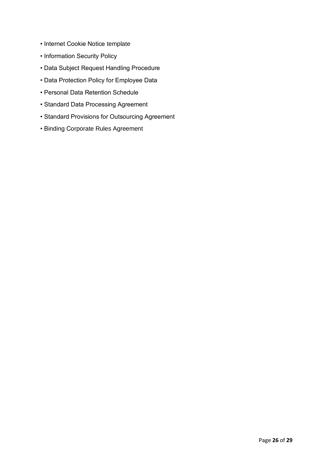- Internet Cookie Notice template
- Information Security Policy
- Data Subject Request Handling Procedure
- Data Protection Policy for Employee Data
- Personal Data Retention Schedule
- Standard Data Processing Agreement
- Standard Provisions for Outsourcing Agreement
- Binding Corporate Rules Agreement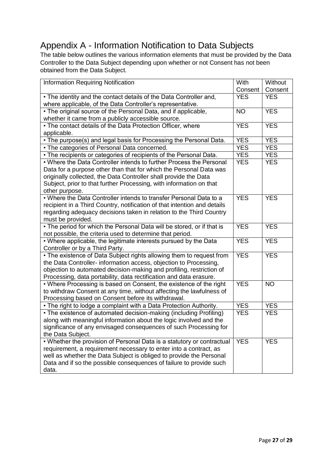# <span id="page-26-0"></span>Appendix A - Information Notification to Data Subjects

The table below outlines the various information elements that must be provided by the Data Controller to the Data Subject depending upon whether or not Consent has not been obtained from the Data Subject.

| <b>Information Requiring Notification</b>                                                                                                | With       | Without    |
|------------------------------------------------------------------------------------------------------------------------------------------|------------|------------|
|                                                                                                                                          | Consent    | Consent    |
| • The identity and the contact details of the Data Controller and,                                                                       | <b>YES</b> | <b>YES</b> |
| where applicable, of the Data Controller's representative.                                                                               |            |            |
| • The original source of the Personal Data, and if applicable,                                                                           |            | <b>YES</b> |
| whether it came from a publicly accessible source.                                                                                       |            |            |
| • The contact details of the Data Protection Officer, where                                                                              |            | <b>YES</b> |
| applicable.                                                                                                                              |            |            |
| • The purpose(s) and legal basis for Processing the Personal Data.                                                                       | <b>YES</b> | <b>YES</b> |
| • The categories of Personal Data concerned.                                                                                             | <b>YES</b> | <b>YES</b> |
| • The recipients or categories of recipients of the Personal Data.                                                                       | <b>YES</b> | <b>YES</b> |
| • Where the Data Controller intends to further Process the Personal                                                                      | <b>YES</b> | <b>YES</b> |
| Data for a purpose other than that for which the Personal Data was                                                                       |            |            |
| originally collected, the Data Controller shall provide the Data                                                                         |            |            |
| Subject, prior to that further Processing, with information on that                                                                      |            |            |
| other purpose.                                                                                                                           |            |            |
| • Where the Data Controller intends to transfer Personal Data to a                                                                       | <b>YES</b> | <b>YES</b> |
| recipient in a Third Country, notification of that intention and details                                                                 |            |            |
| regarding adequacy decisions taken in relation to the Third Country                                                                      |            |            |
| must be provided.                                                                                                                        |            |            |
| • The period for which the Personal Data will be stored, or if that is                                                                   | <b>YES</b> | <b>YES</b> |
| not possible, the criteria used to determine that period.                                                                                |            |            |
| • Where applicable, the legitimate interests pursued by the Data                                                                         | <b>YES</b> | <b>YES</b> |
| Controller or by a Third Party.                                                                                                          |            |            |
| . The existence of Data Subject rights allowing them to request from                                                                     | <b>YES</b> | <b>YES</b> |
| the Data Controller- information access, objection to Processing,                                                                        |            |            |
| objection to automated decision-making and profiling, restriction of                                                                     |            |            |
| Processing, data portability, data rectification and data erasure.                                                                       |            |            |
| • Where Processing is based on Consent, the existence of the right                                                                       | <b>YES</b> | <b>NO</b>  |
| to withdraw Consent at any time, without affecting the lawfulness of                                                                     |            |            |
| Processing based on Consent before its withdrawal.                                                                                       |            |            |
| • The right to lodge a complaint with a Data Protection Authority.                                                                       | <b>YES</b> | <b>YES</b> |
| • The existence of automated decision-making (including Profiling)                                                                       | <b>YES</b> | <b>YES</b> |
| along with meaningful information about the logic involved and the                                                                       |            |            |
| significance of any envisaged consequences of such Processing for                                                                        |            |            |
| the Data Subject.                                                                                                                        | <b>YES</b> | <b>YES</b> |
| • Whether the provision of Personal Data is a statutory or contractual                                                                   |            |            |
| requirement, a requirement necessary to enter into a contract, as<br>well as whether the Data Subject is obliged to provide the Personal |            |            |
| Data and if so the possible consequences of failure to provide such                                                                      |            |            |
| data.                                                                                                                                    |            |            |
|                                                                                                                                          |            |            |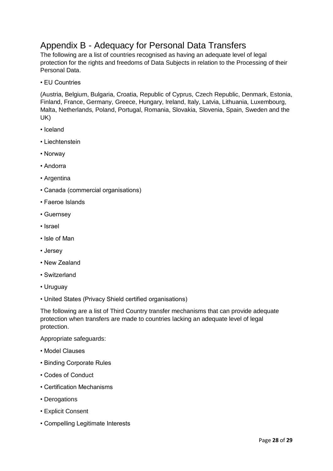# <span id="page-27-0"></span>Appendix B - Adequacy for Personal Data Transfers

The following are a list of countries recognised as having an adequate level of legal protection for the rights and freedoms of Data Subjects in relation to the Processing of their Personal Data.

• EU Countries

(Austria, Belgium, Bulgaria, Croatia, Republic of Cyprus, Czech Republic, Denmark, Estonia, Finland, France, Germany, Greece, Hungary, Ireland, Italy, Latvia, Lithuania, Luxembourg, Malta, Netherlands, Poland, Portugal, Romania, Slovakia, Slovenia, Spain, Sweden and the UK)

- Iceland
- Liechtenstein
- Norway
- Andorra
- Argentina
- Canada (commercial organisations)
- Faeroe Islands
- Guernsey
- Israel
- Isle of Man
- Jersey
- New Zealand
- Switzerland
- Uruguay
- United States (Privacy Shield certified organisations)

The following are a list of Third Country transfer mechanisms that can provide adequate protection when transfers are made to countries lacking an adequate level of legal protection.

Appropriate safeguards:

- Model Clauses
- Binding Corporate Rules
- Codes of Conduct
- Certification Mechanisms
- Derogations
- Explicit Consent
- Compelling Legitimate Interests